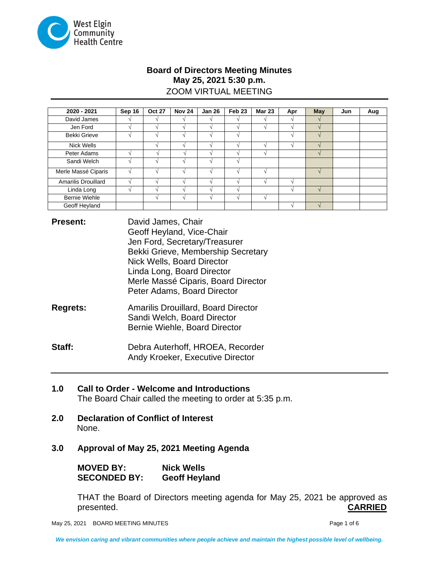

# **Board of Directors Meeting Minutes May 25, 2021 5:30 p.m.** ZOOM VIRTUAL MEETING

| 2020 - 2021          | Sep 16 | <b>Oct 27</b>            | <b>Nov 24</b> | <b>Jan 26</b> | Feb <sub>23</sub> | <b>Mar 23</b> | Apr | <b>May</b>    | Jun | Aug |
|----------------------|--------|--------------------------|---------------|---------------|-------------------|---------------|-----|---------------|-----|-----|
| David James          |        |                          |               |               |                   |               |     |               |     |     |
| Jen Ford             |        |                          |               |               |                   |               |     |               |     |     |
| <b>Bekki Grieve</b>  | $\sim$ | $\overline{\phantom{a}}$ | ×.            |               |                   |               |     | $\mathcal{N}$ |     |     |
| Nick Wells           |        |                          |               |               |                   |               |     |               |     |     |
| Peter Adams          |        |                          |               |               |                   |               |     |               |     |     |
| Sandi Welch          |        |                          |               |               |                   |               |     |               |     |     |
| Merle Massé Ciparis  |        |                          |               |               |                   |               |     |               |     |     |
| Amarilis Drouillard  |        |                          |               |               |                   |               |     |               |     |     |
| Linda Long           |        |                          |               |               |                   |               |     |               |     |     |
| <b>Bernie Wiehle</b> |        |                          |               |               |                   |               |     |               |     |     |
| Geoff Heyland        |        |                          |               |               |                   |               |     |               |     |     |

| <b>Present:</b> | David James, Chair                  |  |  |  |  |  |
|-----------------|-------------------------------------|--|--|--|--|--|
|                 | Geoff Heyland, Vice-Chair           |  |  |  |  |  |
|                 | Jen Ford, Secretary/Treasurer       |  |  |  |  |  |
|                 | Bekki Grieve, Membership Secretary  |  |  |  |  |  |
|                 | Nick Wells, Board Director          |  |  |  |  |  |
|                 | Linda Long, Board Director          |  |  |  |  |  |
|                 | Merle Massé Ciparis, Board Director |  |  |  |  |  |
|                 | Peter Adams, Board Director         |  |  |  |  |  |
|                 |                                     |  |  |  |  |  |

**Regrets:** Amarilis Drouillard, Board Director Sandi Welch, Board Director Bernie Wiehle, Board Director

**Staff:** Debra Auterhoff, HROEA, Recorder Andy Kroeker, Executive Director

- **1.0 Call to Order - Welcome and Introductions** The Board Chair called the meeting to order at 5:35 p.m.
- **2.0 Declaration of Conflict of Interest** None.
- **3.0 Approval of May 25, 2021 Meeting Agenda**

**MOVED BY: Nick Wells SECONDED BY: Geoff Heyland**

THAT the Board of Directors meeting agenda for May 25, 2021 be approved as presented. **CARRIED**

May 25, 2021 BOARD MEETING MINUTES **Page 1 of 6** and 2011 11 and 2011 12 and 2011 12 and 2012 12 and 2012 12 and 201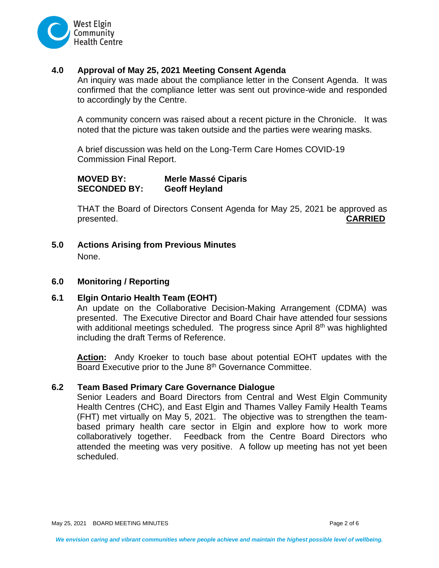

# **4.0 Approval of May 25, 2021 Meeting Consent Agenda**

An inquiry was made about the compliance letter in the Consent Agenda. It was confirmed that the compliance letter was sent out province-wide and responded to accordingly by the Centre.

A community concern was raised about a recent picture in the Chronicle. It was noted that the picture was taken outside and the parties were wearing masks.

A brief discussion was held on the Long-Term Care Homes COVID-19 Commission Final Report.

**MOVED BY: Merle Massé Ciparis SECONDED BY: Geoff Heyland**

THAT the Board of Directors Consent Agenda for May 25, 2021 be approved as presented. **CARRIED**

**5.0 Actions Arising from Previous Minutes** 

None.

## **6.0 Monitoring / Reporting**

## **6.1 Elgin Ontario Health Team (EOHT)**

An update on the Collaborative Decision-Making Arrangement (CDMA) was presented. The Executive Director and Board Chair have attended four sessions with additional meetings scheduled. The progress since April  $8<sup>th</sup>$  was highlighted including the draft Terms of Reference.

**Action:** Andy Kroeker to touch base about potential EOHT updates with the Board Executive prior to the June 8<sup>th</sup> Governance Committee.

## **6.2 Team Based Primary Care Governance Dialogue**

Senior Leaders and Board Directors from Central and West Elgin Community Health Centres (CHC), and East Elgin and Thames Valley Family Health Teams (FHT) met virtually on May 5, 2021. The objective was to strengthen the teambased primary health care sector in Elgin and explore how to work more collaboratively together. Feedback from the Centre Board Directors who attended the meeting was very positive. A follow up meeting has not yet been scheduled.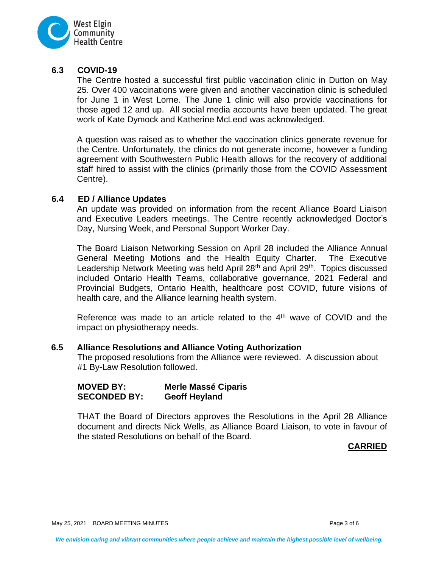

## **6.3 COVID-19**

The Centre hosted a successful first public vaccination clinic in Dutton on May 25. Over 400 vaccinations were given and another vaccination clinic is scheduled for June 1 in West Lorne. The June 1 clinic will also provide vaccinations for those aged 12 and up. All social media accounts have been updated. The great work of Kate Dymock and Katherine McLeod was acknowledged.

A question was raised as to whether the vaccination clinics generate revenue for the Centre. Unfortunately, the clinics do not generate income, however a funding agreement with Southwestern Public Health allows for the recovery of additional staff hired to assist with the clinics (primarily those from the COVID Assessment Centre).

## **6.4 ED / Alliance Updates**

An update was provided on information from the recent Alliance Board Liaison and Executive Leaders meetings. The Centre recently acknowledged Doctor's Day, Nursing Week, and Personal Support Worker Day.

The Board Liaison Networking Session on April 28 included the Alliance Annual General Meeting Motions and the Health Equity Charter. The Executive Leadership Network Meeting was held April 28<sup>th</sup> and April 29<sup>th</sup>. Topics discussed included Ontario Health Teams, collaborative governance, 2021 Federal and Provincial Budgets, Ontario Health, healthcare post COVID, future visions of health care, and the Alliance learning health system.

Reference was made to an article related to the  $4<sup>th</sup>$  wave of COVID and the impact on physiotherapy needs.

## **6.5 Alliance Resolutions and Alliance Voting Authorization**

The proposed resolutions from the Alliance were reviewed. A discussion about #1 By-Law Resolution followed.

| <b>MOVED BY:</b>    | <b>Merle Massé Ciparis</b> |
|---------------------|----------------------------|
| <b>SECONDED BY:</b> | <b>Geoff Heyland</b>       |

THAT the Board of Directors approves the Resolutions in the April 28 Alliance document and directs Nick Wells, as Alliance Board Liaison, to vote in favour of the stated Resolutions on behalf of the Board.

## **CARRIED**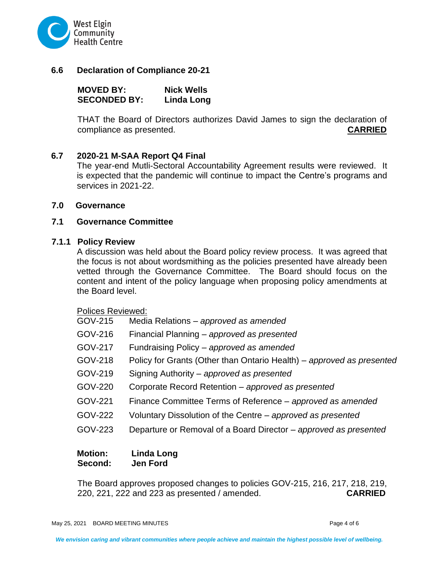

## **6.6 Declaration of Compliance 20-21**

**MOVED BY: Nick Wells SECONDED BY: Linda Long**

THAT the Board of Directors authorizes David James to sign the declaration of compliance as presented. **CARRIED**

## **6.7 2020-21 M-SAA Report Q4 Final**

The year-end Mutli-Sectoral Accountability Agreement results were reviewed. It is expected that the pandemic will continue to impact the Centre's programs and services in 2021-22.

#### **7.0 Governance**

## **7.1 Governance Committee**

#### **7.1.1 Policy Review**

A discussion was held about the Board policy review process. It was agreed that the focus is not about wordsmithing as the policies presented have already been vetted through the Governance Committee. The Board should focus on the content and intent of the policy language when proposing policy amendments at the Board level.

#### Polices Reviewed:

- GOV-215 Media Relations *approved as amended*
- GOV-216 Financial Planning *approved as presented*
- GOV-217 Fundraising Policy *approved as amended*
- GOV-218 Policy for Grants (Other than Ontario Health) *approved as presented*
- GOV-219 Signing Authority *approved as presented*
- GOV-220 Corporate Record Retention *approved as presented*
- GOV-221 Finance Committee Terms of Reference *approved as amended*
- GOV-222 Voluntary Dissolution of the Centre *approved as presented*
- GOV-223 Departure or Removal of a Board Director *approved as presented*

## **Motion: Linda Long Second: Jen Ford**

The Board approves proposed changes to policies GOV-215, 216, 217, 218, 219, 220, 221, 222 and 223 as presented / amended. **CARRIED**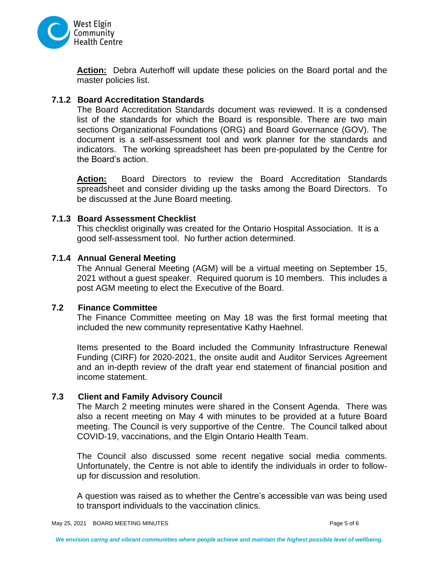

**Action:** Debra Auterhoff will update these policies on the Board portal and the master policies list.

# **7.1.2 Board Accreditation Standards**

The Board Accreditation Standards document was reviewed. It is a condensed list of the standards for which the Board is responsible. There are two main sections Organizational Foundations (ORG) and Board Governance (GOV). The document is a self-assessment tool and work planner for the standards and indicators. The working spreadsheet has been pre-populated by the Centre for the Board's action.

**Action:** Board Directors to review the Board Accreditation Standards spreadsheet and consider dividing up the tasks among the Board Directors. To be discussed at the June Board meeting.

# **7.1.3 Board Assessment Checklist**

This checklist originally was created for the Ontario Hospital Association. It is a good self-assessment tool. No further action determined.

# **7.1.4 Annual General Meeting**

The Annual General Meeting (AGM) will be a virtual meeting on September 15, 2021 without a guest speaker. Required quorum is 10 members. This includes a post AGM meeting to elect the Executive of the Board.

## **7.2 Finance Committee**

The Finance Committee meeting on May 18 was the first formal meeting that included the new community representative Kathy Haehnel.

Items presented to the Board included the Community Infrastructure Renewal Funding (CIRF) for 2020-2021, the onsite audit and Auditor Services Agreement and an in-depth review of the draft year end statement of financial position and income statement.

# **7.3 Client and Family Advisory Council**

The March 2 meeting minutes were shared in the Consent Agenda. There was also a recent meeting on May 4 with minutes to be provided at a future Board meeting. The Council is very supportive of the Centre. The Council talked about COVID-19, vaccinations, and the Elgin Ontario Health Team.

The Council also discussed some recent negative social media comments. Unfortunately, the Centre is not able to identify the individuals in order to followup for discussion and resolution.

A question was raised as to whether the Centre's accessible van was being used to transport individuals to the vaccination clinics.